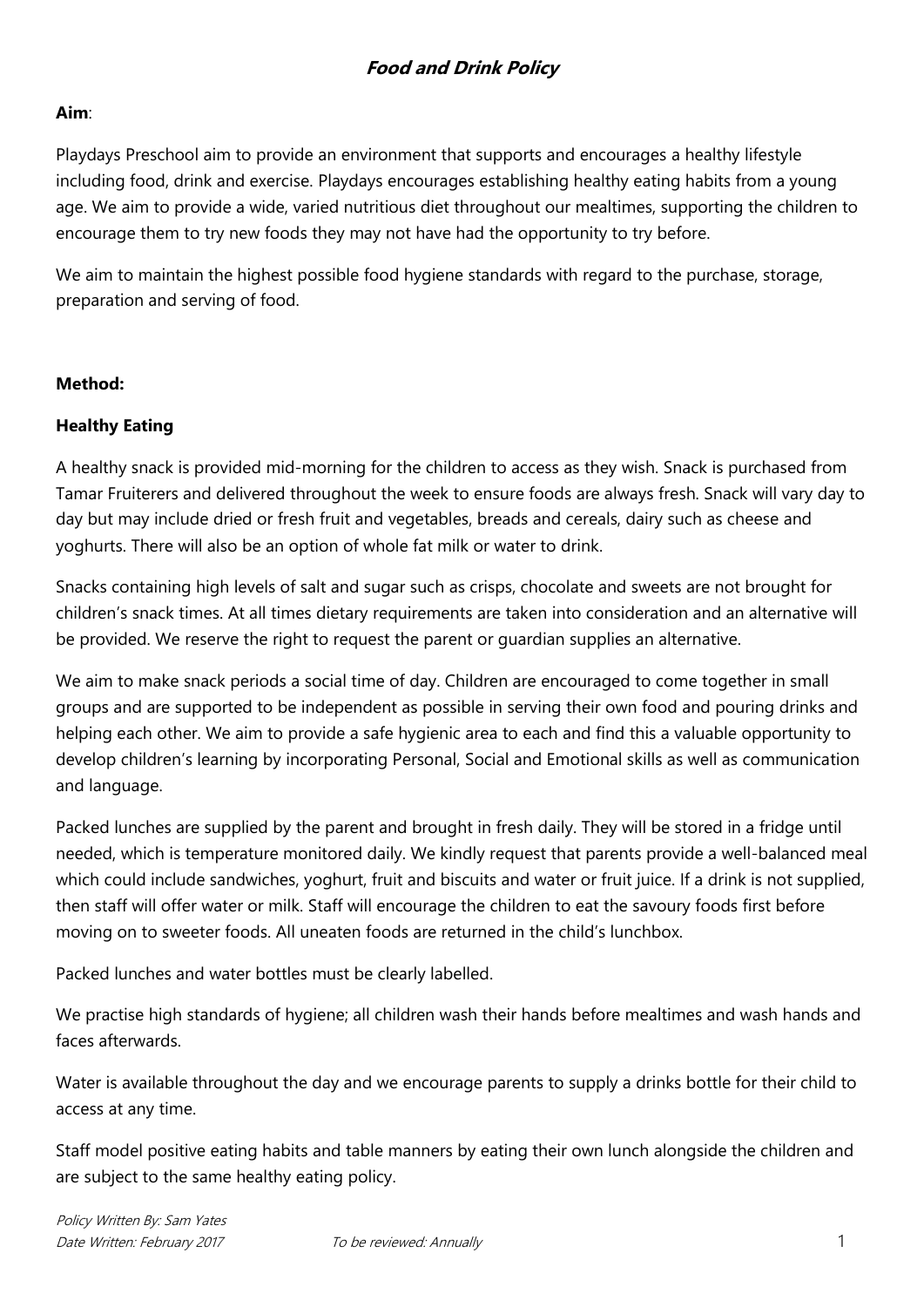#### **Aim**:

Playdays Preschool aim to provide an environment that supports and encourages a healthy lifestyle including food, drink and exercise. Playdays encourages establishing healthy eating habits from a young age. We aim to provide a wide, varied nutritious diet throughout our mealtimes, supporting the children to encourage them to try new foods they may not have had the opportunity to try before.

We aim to maintain the highest possible food hygiene standards with regard to the purchase, storage, preparation and serving of food.

#### **Method:**

#### **Healthy Eating**

A healthy snack is provided mid-morning for the children to access as they wish. Snack is purchased from Tamar Fruiterers and delivered throughout the week to ensure foods are always fresh. Snack will vary day to day but may include dried or fresh fruit and vegetables, breads and cereals, dairy such as cheese and yoghurts. There will also be an option of whole fat milk or water to drink.

Snacks containing high levels of salt and sugar such as crisps, chocolate and sweets are not brought for children's snack times. At all times dietary requirements are taken into consideration and an alternative will be provided. We reserve the right to request the parent or guardian supplies an alternative.

We aim to make snack periods a social time of day. Children are encouraged to come together in small groups and are supported to be independent as possible in serving their own food and pouring drinks and helping each other. We aim to provide a safe hygienic area to each and find this a valuable opportunity to develop children's learning by incorporating Personal, Social and Emotional skills as well as communication and language.

Packed lunches are supplied by the parent and brought in fresh daily. They will be stored in a fridge until needed, which is temperature monitored daily. We kindly request that parents provide a well-balanced meal which could include sandwiches, yoghurt, fruit and biscuits and water or fruit juice. If a drink is not supplied, then staff will offer water or milk. Staff will encourage the children to eat the savoury foods first before moving on to sweeter foods. All uneaten foods are returned in the child's lunchbox.

Packed lunches and water bottles must be clearly labelled.

We practise high standards of hygiene; all children wash their hands before mealtimes and wash hands and faces afterwards.

Water is available throughout the day and we encourage parents to supply a drinks bottle for their child to access at any time.

Staff model positive eating habits and table manners by eating their own lunch alongside the children and are subject to the same healthy eating policy.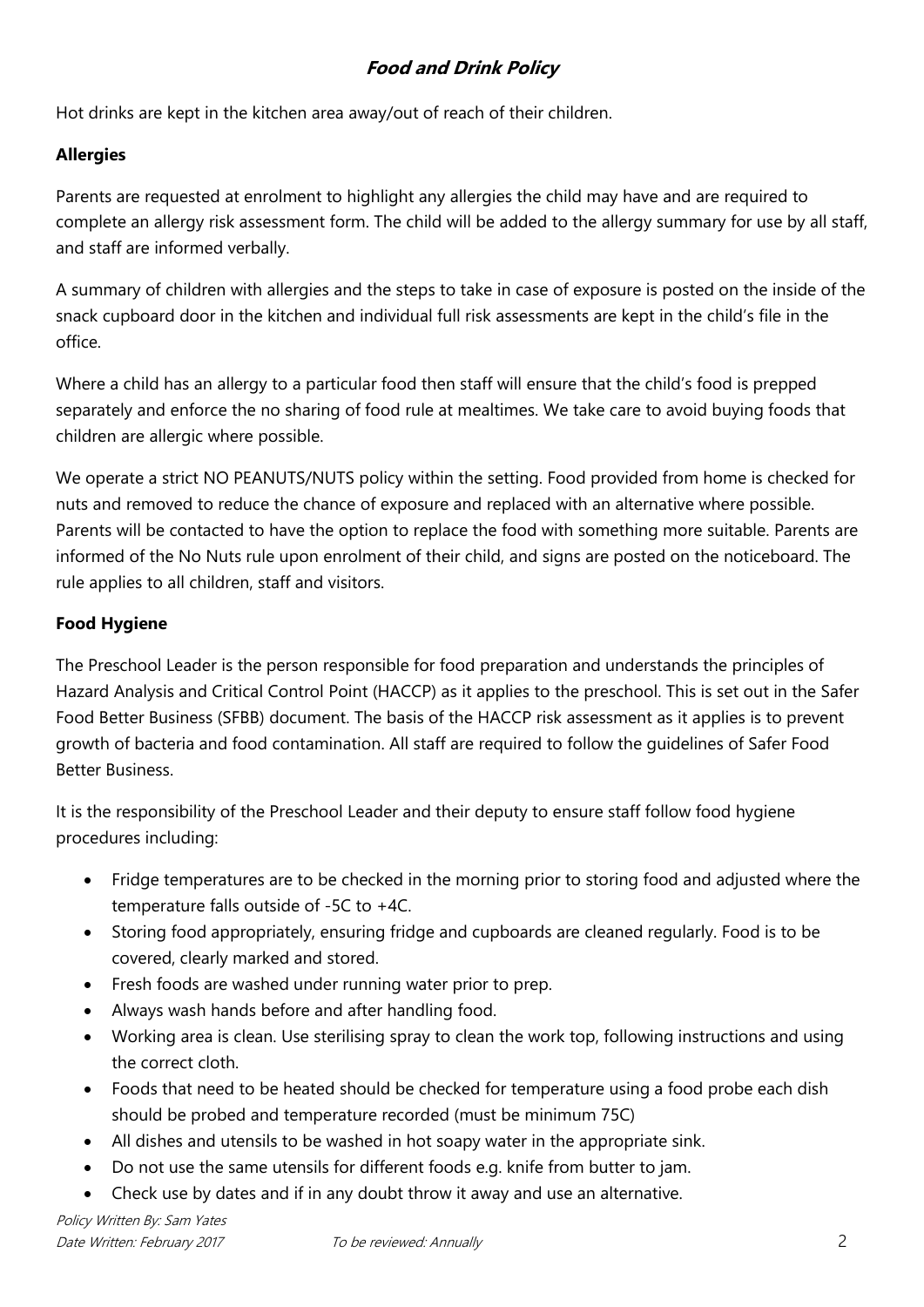Hot drinks are kept in the kitchen area away/out of reach of their children.

## **Allergies**

Parents are requested at enrolment to highlight any allergies the child may have and are required to complete an allergy risk assessment form. The child will be added to the allergy summary for use by all staff, and staff are informed verbally.

A summary of children with allergies and the steps to take in case of exposure is posted on the inside of the snack cupboard door in the kitchen and individual full risk assessments are kept in the child's file in the office.

Where a child has an allergy to a particular food then staff will ensure that the child's food is prepped separately and enforce the no sharing of food rule at mealtimes. We take care to avoid buying foods that children are allergic where possible.

We operate a strict NO PEANUTS/NUTS policy within the setting. Food provided from home is checked for nuts and removed to reduce the chance of exposure and replaced with an alternative where possible. Parents will be contacted to have the option to replace the food with something more suitable. Parents are informed of the No Nuts rule upon enrolment of their child, and signs are posted on the noticeboard. The rule applies to all children, staff and visitors.

## **Food Hygiene**

The Preschool Leader is the person responsible for food preparation and understands the principles of Hazard Analysis and Critical Control Point (HACCP) as it applies to the preschool. This is set out in the Safer Food Better Business (SFBB) document. The basis of the HACCP risk assessment as it applies is to prevent growth of bacteria and food contamination. All staff are required to follow the guidelines of Safer Food Better Business.

It is the responsibility of the Preschool Leader and their deputy to ensure staff follow food hygiene procedures including:

- Fridge temperatures are to be checked in the morning prior to storing food and adjusted where the temperature falls outside of -5C to +4C.
- Storing food appropriately, ensuring fridge and cupboards are cleaned regularly. Food is to be covered, clearly marked and stored.
- Fresh foods are washed under running water prior to prep.
- Always wash hands before and after handling food.
- Working area is clean. Use sterilising spray to clean the work top, following instructions and using the correct cloth.
- Foods that need to be heated should be checked for temperature using a food probe each dish should be probed and temperature recorded (must be minimum 75C)
- All dishes and utensils to be washed in hot soapy water in the appropriate sink.
- Do not use the same utensils for different foods e.g. knife from butter to jam.
- Check use by dates and if in any doubt throw it away and use an alternative.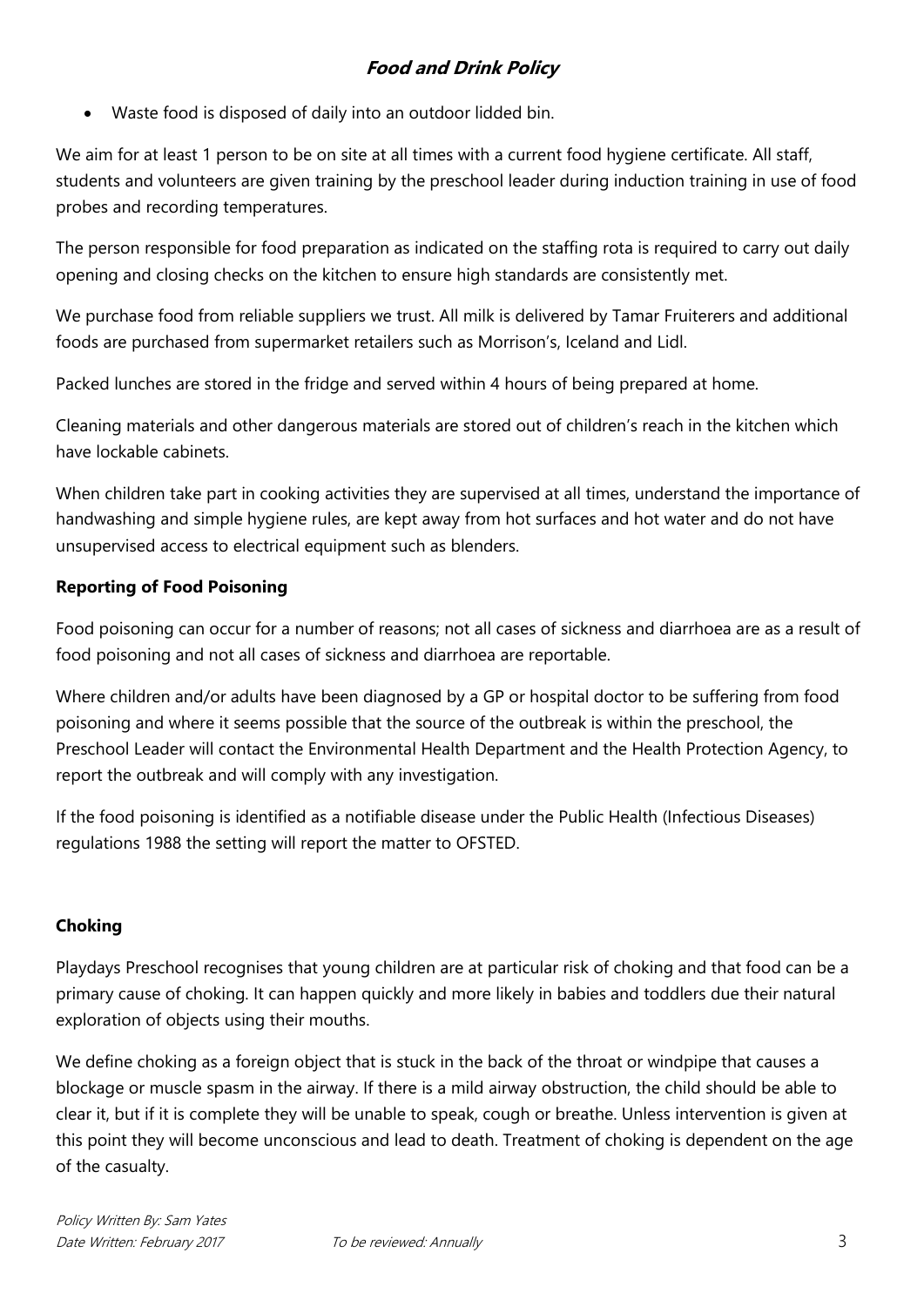Waste food is disposed of daily into an outdoor lidded bin.

We aim for at least 1 person to be on site at all times with a current food hygiene certificate. All staff, students and volunteers are given training by the preschool leader during induction training in use of food probes and recording temperatures.

The person responsible for food preparation as indicated on the staffing rota is required to carry out daily opening and closing checks on the kitchen to ensure high standards are consistently met.

We purchase food from reliable suppliers we trust. All milk is delivered by Tamar Fruiterers and additional foods are purchased from supermarket retailers such as Morrison's, Iceland and Lidl.

Packed lunches are stored in the fridge and served within 4 hours of being prepared at home.

Cleaning materials and other dangerous materials are stored out of children's reach in the kitchen which have lockable cabinets.

When children take part in cooking activities they are supervised at all times, understand the importance of handwashing and simple hygiene rules, are kept away from hot surfaces and hot water and do not have unsupervised access to electrical equipment such as blenders.

## **Reporting of Food Poisoning**

Food poisoning can occur for a number of reasons; not all cases of sickness and diarrhoea are as a result of food poisoning and not all cases of sickness and diarrhoea are reportable.

Where children and/or adults have been diagnosed by a GP or hospital doctor to be suffering from food poisoning and where it seems possible that the source of the outbreak is within the preschool, the Preschool Leader will contact the Environmental Health Department and the Health Protection Agency, to report the outbreak and will comply with any investigation.

If the food poisoning is identified as a notifiable disease under the Public Health (Infectious Diseases) regulations 1988 the setting will report the matter to OFSTED.

## **Choking**

Playdays Preschool recognises that young children are at particular risk of choking and that food can be a primary cause of choking. It can happen quickly and more likely in babies and toddlers due their natural exploration of objects using their mouths.

We define choking as a foreign object that is stuck in the back of the throat or windpipe that causes a blockage or muscle spasm in the airway. If there is a mild airway obstruction, the child should be able to clear it, but if it is complete they will be unable to speak, cough or breathe. Unless intervention is given at this point they will become unconscious and lead to death. Treatment of choking is dependent on the age of the casualty.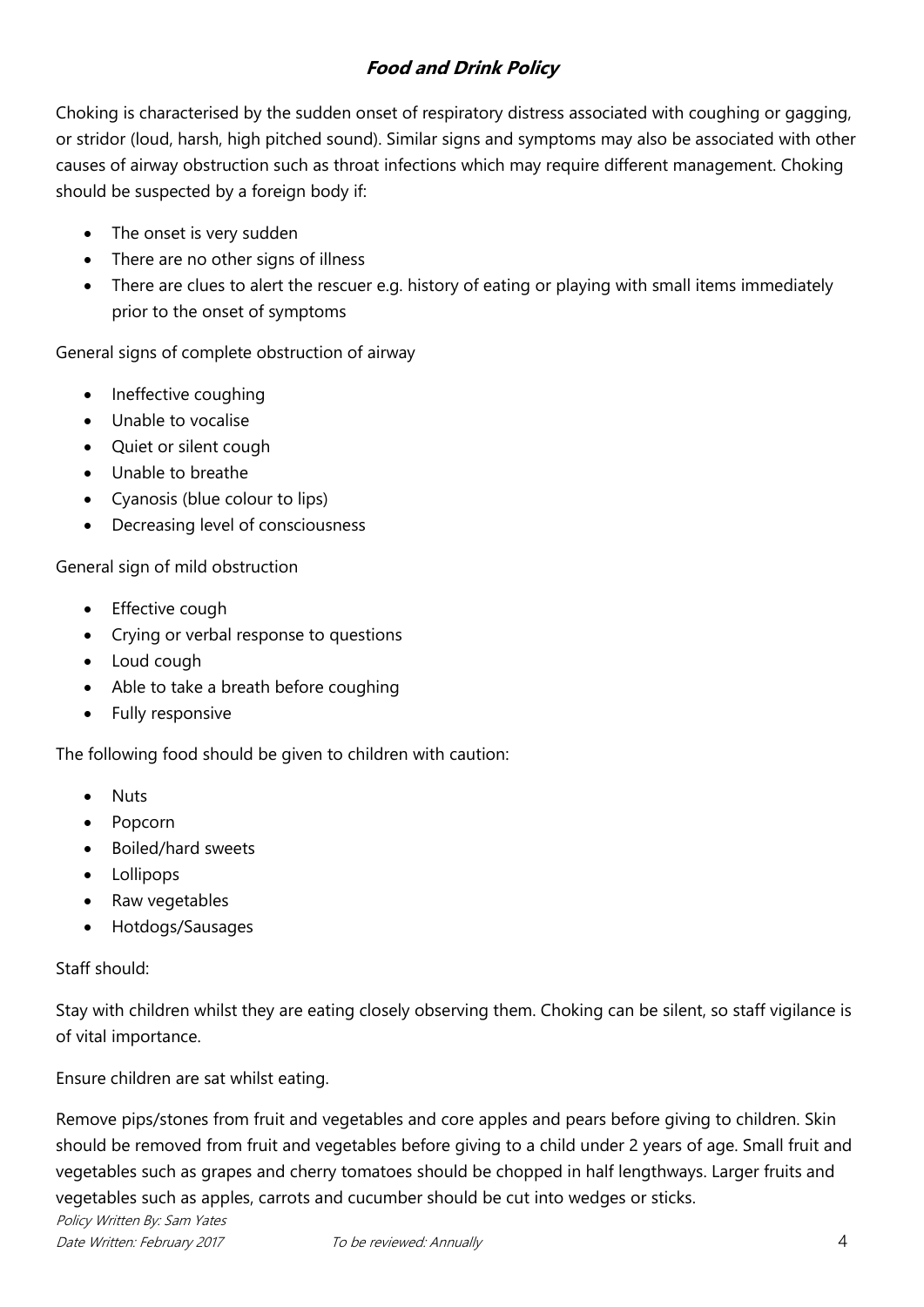Choking is characterised by the sudden onset of respiratory distress associated with coughing or gagging, or stridor (loud, harsh, high pitched sound). Similar signs and symptoms may also be associated with other causes of airway obstruction such as throat infections which may require different management. Choking should be suspected by a foreign body if:

- The onset is very sudden
- There are no other signs of illness
- There are clues to alert the rescuer e.g. history of eating or playing with small items immediately prior to the onset of symptoms

General signs of complete obstruction of airway

- Ineffective coughing
- Unable to vocalise
- Quiet or silent cough
- Unable to breathe
- Cyanosis (blue colour to lips)
- Decreasing level of consciousness

General sign of mild obstruction

- Effective cough
- Crying or verbal response to questions
- Loud cough
- Able to take a breath before coughing
- Fully responsive

The following food should be given to children with caution:

- **Nuts**
- Popcorn
- Boiled/hard sweets
- Lollipops
- Raw vegetables
- Hotdogs/Sausages

Staff should:

Stay with children whilst they are eating closely observing them. Choking can be silent, so staff vigilance is of vital importance.

Ensure children are sat whilst eating.

Policy Written By: Sam Yates Date Written: February 2017 To be reviewed: Annually 4 Remove pips/stones from fruit and vegetables and core apples and pears before giving to children. Skin should be removed from fruit and vegetables before giving to a child under 2 years of age. Small fruit and vegetables such as grapes and cherry tomatoes should be chopped in half lengthways. Larger fruits and vegetables such as apples, carrots and cucumber should be cut into wedges or sticks.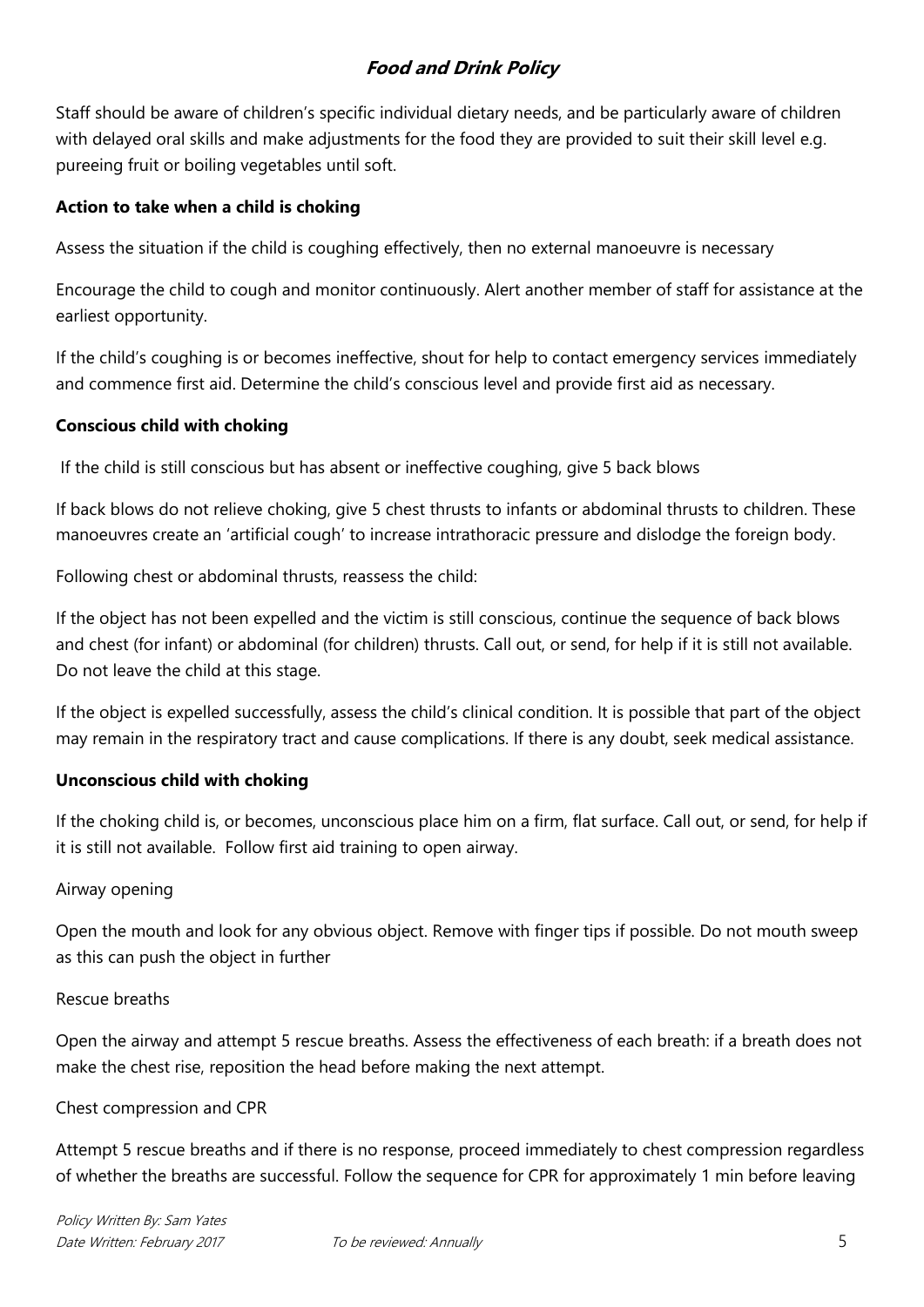Staff should be aware of children's specific individual dietary needs, and be particularly aware of children with delayed oral skills and make adjustments for the food they are provided to suit their skill level e.g. pureeing fruit or boiling vegetables until soft.

#### **Action to take when a child is choking**

Assess the situation if the child is coughing effectively, then no external manoeuvre is necessary

Encourage the child to cough and monitor continuously. Alert another member of staff for assistance at the earliest opportunity.

If the child's coughing is or becomes ineffective, shout for help to contact emergency services immediately and commence first aid. Determine the child's conscious level and provide first aid as necessary.

## **Conscious child with choking**

If the child is still conscious but has absent or ineffective coughing, give 5 back blows

If back blows do not relieve choking, give 5 chest thrusts to infants or abdominal thrusts to children. These manoeuvres create an 'artificial cough' to increase intrathoracic pressure and dislodge the foreign body.

Following chest or abdominal thrusts, reassess the child:

If the object has not been expelled and the victim is still conscious, continue the sequence of back blows and chest (for infant) or abdominal (for children) thrusts. Call out, or send, for help if it is still not available. Do not leave the child at this stage.

If the object is expelled successfully, assess the child's clinical condition. It is possible that part of the object may remain in the respiratory tract and cause complications. If there is any doubt, seek medical assistance.

## **Unconscious child with choking**

If the choking child is, or becomes, unconscious place him on a firm, flat surface. Call out, or send, for help if it is still not available. Follow first aid training to open airway.

#### Airway opening

Open the mouth and look for any obvious object. Remove with finger tips if possible. Do not mouth sweep as this can push the object in further

#### Rescue breaths

Open the airway and attempt 5 rescue breaths. Assess the effectiveness of each breath: if a breath does not make the chest rise, reposition the head before making the next attempt.

#### Chest compression and CPR

Attempt 5 rescue breaths and if there is no response, proceed immediately to chest compression regardless of whether the breaths are successful. Follow the sequence for CPR for approximately 1 min before leaving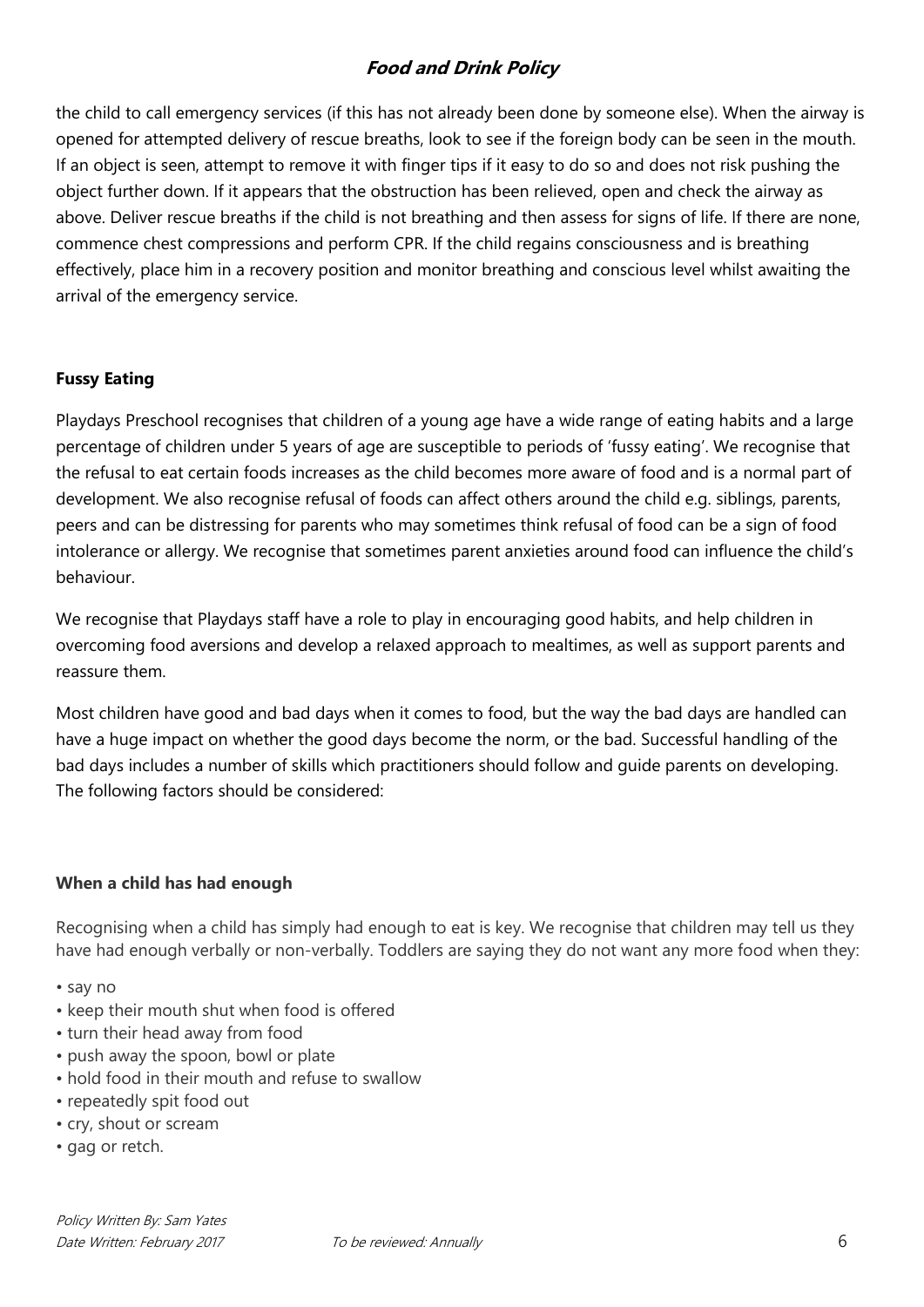the child to call emergency services (if this has not already been done by someone else). When the airway is opened for attempted delivery of rescue breaths, look to see if the foreign body can be seen in the mouth. If an object is seen, attempt to remove it with finger tips if it easy to do so and does not risk pushing the object further down. If it appears that the obstruction has been relieved, open and check the airway as above. Deliver rescue breaths if the child is not breathing and then assess for signs of life. If there are none, commence chest compressions and perform CPR. If the child regains consciousness and is breathing effectively, place him in a recovery position and monitor breathing and conscious level whilst awaiting the arrival of the emergency service.

#### **Fussy Eating**

Playdays Preschool recognises that children of a young age have a wide range of eating habits and a large percentage of children under 5 years of age are susceptible to periods of 'fussy eating'. We recognise that the refusal to eat certain foods increases as the child becomes more aware of food and is a normal part of development. We also recognise refusal of foods can affect others around the child e.g. siblings, parents, peers and can be distressing for parents who may sometimes think refusal of food can be a sign of food intolerance or allergy. We recognise that sometimes parent anxieties around food can influence the child's behaviour.

We recognise that Playdays staff have a role to play in encouraging good habits, and help children in overcoming food aversions and develop a relaxed approach to mealtimes, as well as support parents and reassure them.

Most children have good and bad days when it comes to food, but the way the bad days are handled can have a huge impact on whether the good days become the norm, or the bad. Successful handling of the bad days includes a number of skills which practitioners should follow and guide parents on developing. The following factors should be considered:

#### **When a child has had enough**

Recognising when a child has simply had enough to eat is key. We recognise that children may tell us they have had enough verbally or non-verbally. Toddlers are saying they do not want any more food when they:

- say no
- keep their mouth shut when food is offered
- turn their head away from food
- push away the spoon, bowl or plate
- hold food in their mouth and refuse to swallow
- repeatedly spit food out
- cry, shout or scream
- gag or retch.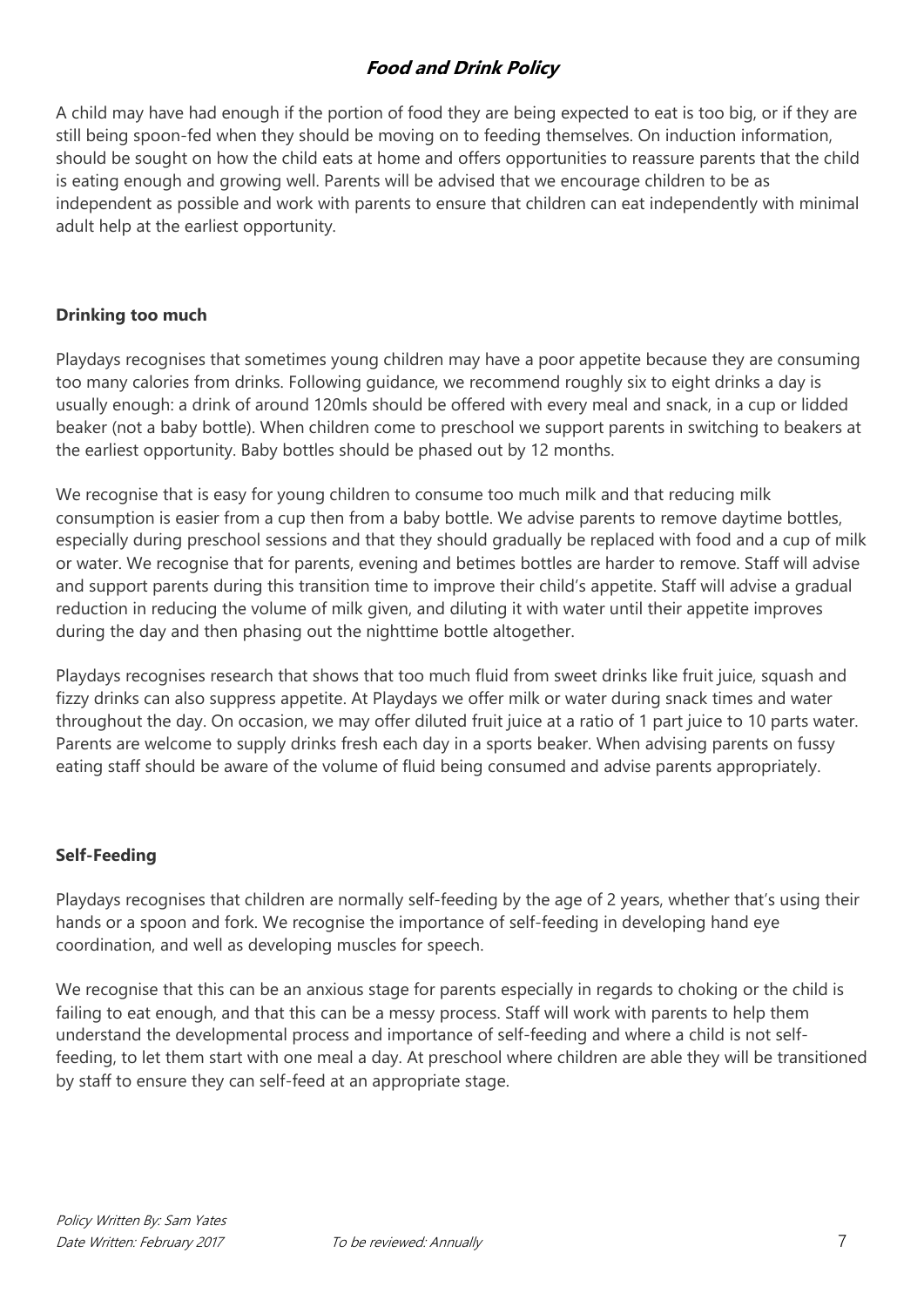A child may have had enough if the portion of food they are being expected to eat is too big, or if they are still being spoon-fed when they should be moving on to feeding themselves. On induction information, should be sought on how the child eats at home and offers opportunities to reassure parents that the child is eating enough and growing well. Parents will be advised that we encourage children to be as independent as possible and work with parents to ensure that children can eat independently with minimal adult help at the earliest opportunity.

#### **Drinking too much**

Playdays recognises that sometimes young children may have a poor appetite because they are consuming too many calories from drinks. Following guidance, we recommend roughly six to eight drinks a day is usually enough: a drink of around 120mls should be offered with every meal and snack, in a cup or lidded beaker (not a baby bottle). When children come to preschool we support parents in switching to beakers at the earliest opportunity. Baby bottles should be phased out by 12 months.

We recognise that is easy for young children to consume too much milk and that reducing milk consumption is easier from a cup then from a baby bottle. We advise parents to remove daytime bottles, especially during preschool sessions and that they should gradually be replaced with food and a cup of milk or water. We recognise that for parents, evening and betimes bottles are harder to remove. Staff will advise and support parents during this transition time to improve their child's appetite. Staff will advise a gradual reduction in reducing the volume of milk given, and diluting it with water until their appetite improves during the day and then phasing out the nighttime bottle altogether.

Playdays recognises research that shows that too much fluid from sweet drinks like fruit juice, squash and fizzy drinks can also suppress appetite. At Playdays we offer milk or water during snack times and water throughout the day. On occasion, we may offer diluted fruit juice at a ratio of 1 part juice to 10 parts water. Parents are welcome to supply drinks fresh each day in a sports beaker. When advising parents on fussy eating staff should be aware of the volume of fluid being consumed and advise parents appropriately.

#### **Self-Feeding**

Playdays recognises that children are normally self-feeding by the age of 2 years, whether that's using their hands or a spoon and fork. We recognise the importance of self-feeding in developing hand eye coordination, and well as developing muscles for speech.

We recognise that this can be an anxious stage for parents especially in regards to choking or the child is failing to eat enough, and that this can be a messy process. Staff will work with parents to help them understand the developmental process and importance of self-feeding and where a child is not selffeeding, to let them start with one meal a day. At preschool where children are able they will be transitioned by staff to ensure they can self-feed at an appropriate stage.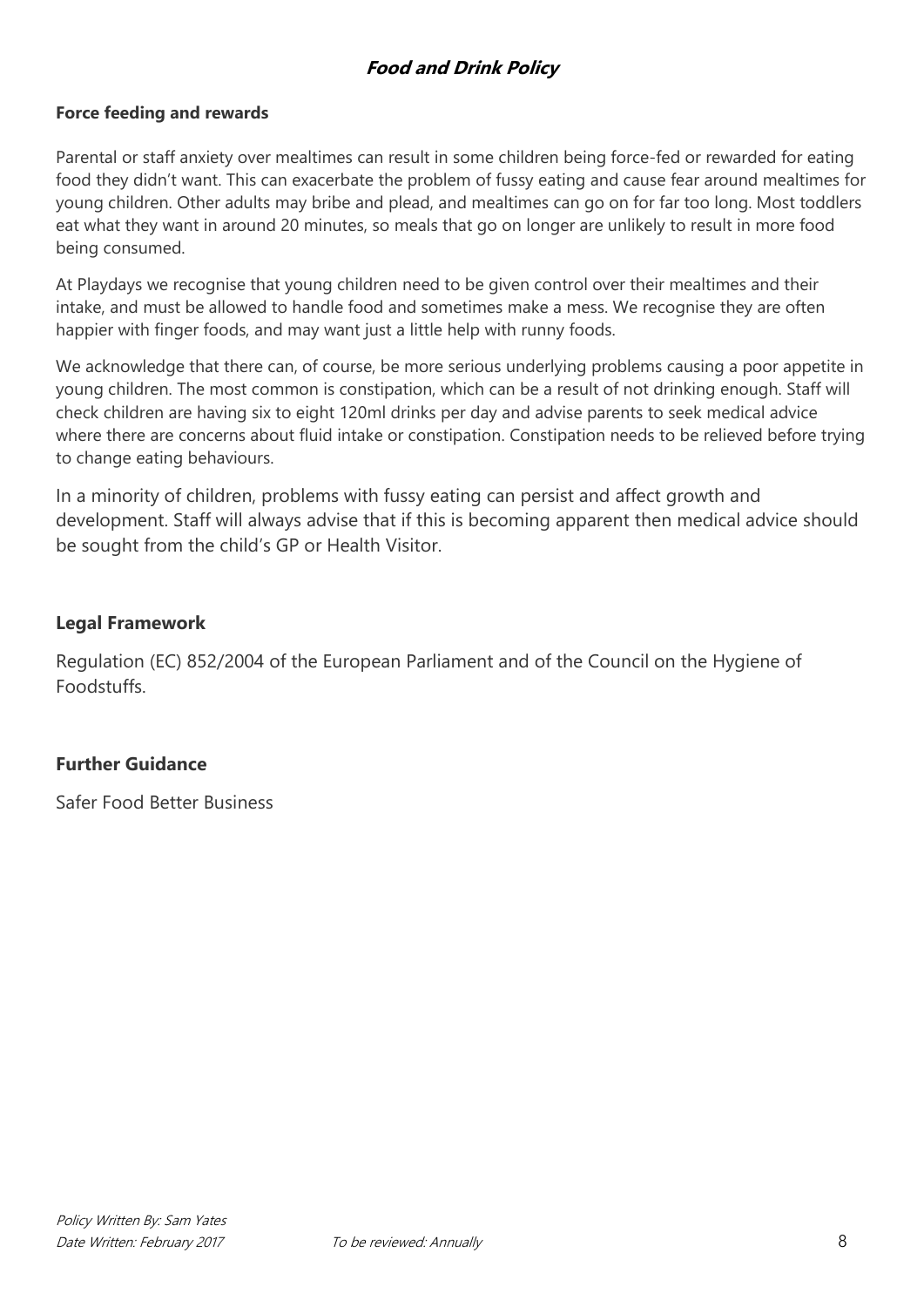#### **Force feeding and rewards**

Parental or staff anxiety over mealtimes can result in some children being force-fed or rewarded for eating food they didn't want. This can exacerbate the problem of fussy eating and cause fear around mealtimes for young children. Other adults may bribe and plead, and mealtimes can go on for far too long. Most toddlers eat what they want in around 20 minutes, so meals that go on longer are unlikely to result in more food being consumed.

At Playdays we recognise that young children need to be given control over their mealtimes and their intake, and must be allowed to handle food and sometimes make a mess. We recognise they are often happier with finger foods, and may want just a little help with runny foods.

We acknowledge that there can, of course, be more serious underlying problems causing a poor appetite in young children. The most common is constipation, which can be a result of not drinking enough. Staff will check children are having six to eight 120ml drinks per day and advise parents to seek medical advice where there are concerns about fluid intake or constipation. Constipation needs to be relieved before trying to change eating behaviours.

In a minority of children, problems with fussy eating can persist and affect growth and development. Staff will always advise that if this is becoming apparent then medical advice should be sought from the child's GP or Health Visitor.

#### **Legal Framework**

Regulation (EC) 852/2004 of the European Parliament and of the Council on the Hygiene of Foodstuffs.

#### **Further Guidance**

Safer Food Better Business